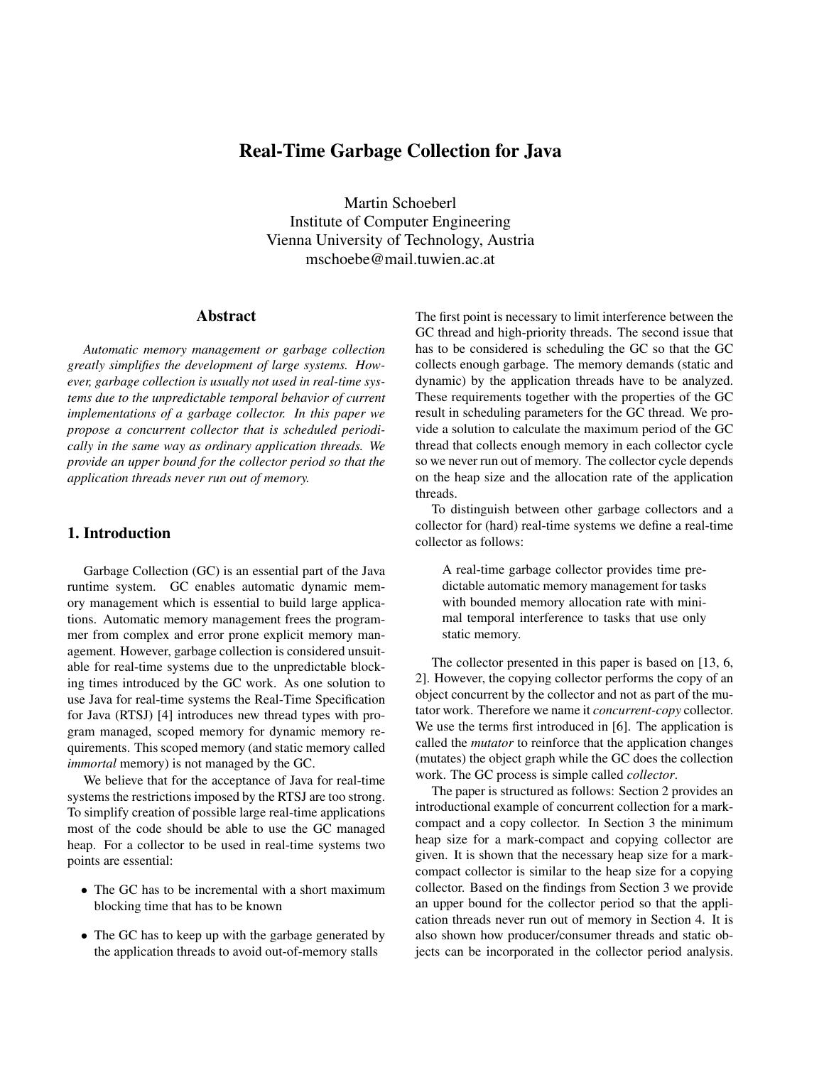# Real-Time Garbage Collection for Java

Martin Schoeberl Institute of Computer Engineering Vienna University of Technology, Austria mschoebe@mail.tuwien.ac.at

#### Abstract

*Automatic memory management or garbage collection greatly simplifies the development of large systems. However, garbage collection is usually not used in real-time systems due to the unpredictable temporal behavior of current implementations of a garbage collector. In this paper we propose a concurrent collector that is scheduled periodically in the same way as ordinary application threads. We provide an upper bound for the collector period so that the application threads never run out of memory.*

## 1. Introduction

Garbage Collection (GC) is an essential part of the Java runtime system. GC enables automatic dynamic memory management which is essential to build large applications. Automatic memory management frees the programmer from complex and error prone explicit memory management. However, garbage collection is considered unsuitable for real-time systems due to the unpredictable blocking times introduced by the GC work. As one solution to use Java for real-time systems the Real-Time Specification for Java (RTSJ) [4] introduces new thread types with program managed, scoped memory for dynamic memory requirements. This scoped memory (and static memory called *immortal* memory) is not managed by the GC.

We believe that for the acceptance of Java for real-time systems the restrictions imposed by the RTSJ are too strong. To simplify creation of possible large real-time applications most of the code should be able to use the GC managed heap. For a collector to be used in real-time systems two points are essential:

- The GC has to be incremental with a short maximum blocking time that has to be known
- The GC has to keep up with the garbage generated by the application threads to avoid out-of-memory stalls

The first point is necessary to limit interference between the GC thread and high-priority threads. The second issue that has to be considered is scheduling the GC so that the GC collects enough garbage. The memory demands (static and dynamic) by the application threads have to be analyzed. These requirements together with the properties of the GC result in scheduling parameters for the GC thread. We provide a solution to calculate the maximum period of the GC thread that collects enough memory in each collector cycle so we never run out of memory. The collector cycle depends on the heap size and the allocation rate of the application threads.

To distinguish between other garbage collectors and a collector for (hard) real-time systems we define a real-time collector as follows:

A real-time garbage collector provides time predictable automatic memory management for tasks with bounded memory allocation rate with minimal temporal interference to tasks that use only static memory.

The collector presented in this paper is based on [13, 6, 2]. However, the copying collector performs the copy of an object concurrent by the collector and not as part of the mutator work. Therefore we name it *concurrent-copy* collector. We use the terms first introduced in [6]. The application is called the *mutator* to reinforce that the application changes (mutates) the object graph while the GC does the collection work. The GC process is simple called *collector*.

The paper is structured as follows: Section 2 provides an introductional example of concurrent collection for a markcompact and a copy collector. In Section 3 the minimum heap size for a mark-compact and copying collector are given. It is shown that the necessary heap size for a markcompact collector is similar to the heap size for a copying collector. Based on the findings from Section 3 we provide an upper bound for the collector period so that the application threads never run out of memory in Section 4. It is also shown how producer/consumer threads and static objects can be incorporated in the collector period analysis.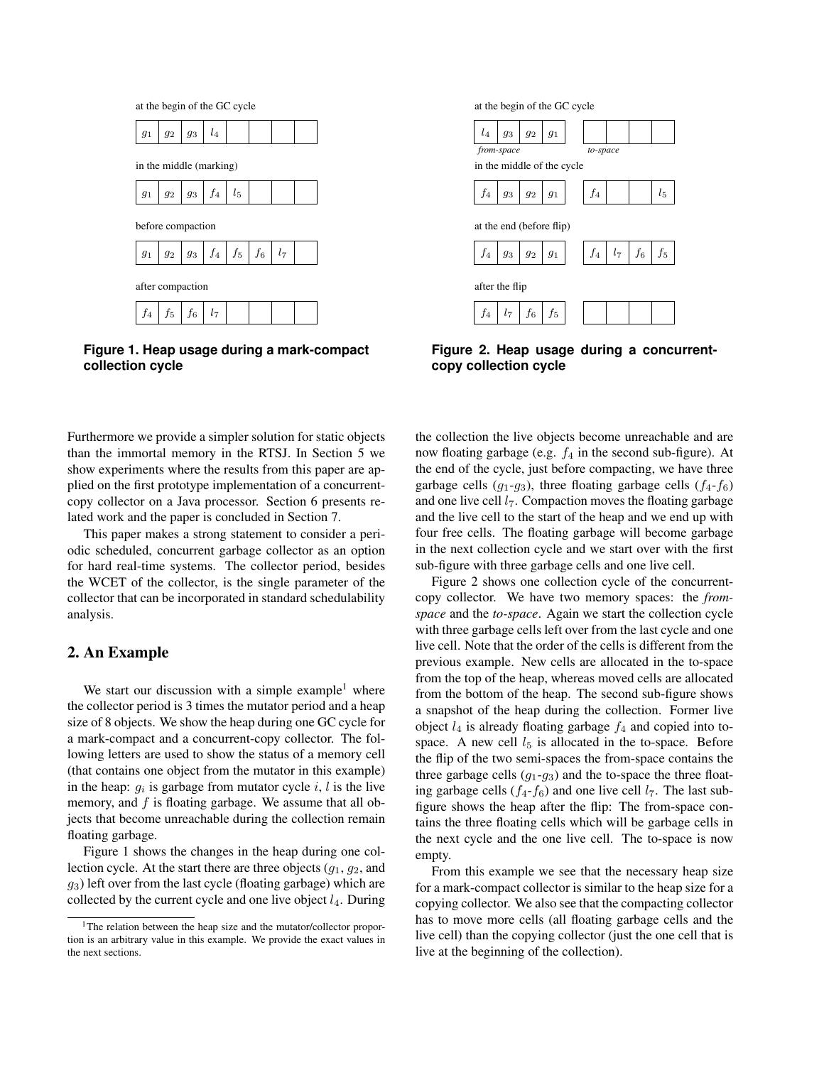

**Figure 1. Heap usage during a mark-compact collection cycle**

Furthermore we provide a simpler solution for static objects than the immortal memory in the RTSJ. In Section 5 we show experiments where the results from this paper are applied on the first prototype implementation of a concurrentcopy collector on a Java processor. Section 6 presents related work and the paper is concluded in Section 7.

This paper makes a strong statement to consider a periodic scheduled, concurrent garbage collector as an option for hard real-time systems. The collector period, besides the WCET of the collector, is the single parameter of the collector that can be incorporated in standard schedulability analysis.

## 2. An Example

We start our discussion with a simple example<sup>1</sup> where the collector period is 3 times the mutator period and a heap size of 8 objects. We show the heap during one GC cycle for a mark-compact and a concurrent-copy collector. The following letters are used to show the status of a memory cell (that contains one object from the mutator in this example) in the heap:  $g_i$  is garbage from mutator cycle  $i, l$  is the live memory, and  $f$  is floating garbage. We assume that all objects that become unreachable during the collection remain floating garbage.

Figure 1 shows the changes in the heap during one collection cycle. At the start there are three objects  $(g_1, g_2, \text{and})$  $g_3$ ) left over from the last cycle (floating garbage) which are collected by the current cycle and one live object  $l_4$ . During



**Figure 2. Heap usage during a concurrentcopy collection cycle**

the collection the live objects become unreachable and are now floating garbage (e.g.  $f_4$  in the second sub-figure). At the end of the cycle, just before compacting, we have three garbage cells  $(g_1-g_3)$ , three floating garbage cells  $(f_4-f_6)$ and one live cell  $l_7$ . Compaction moves the floating garbage and the live cell to the start of the heap and we end up with four free cells. The floating garbage will become garbage in the next collection cycle and we start over with the first sub-figure with three garbage cells and one live cell.

Figure 2 shows one collection cycle of the concurrentcopy collector. We have two memory spaces: the *fromspace* and the *to-space*. Again we start the collection cycle with three garbage cells left over from the last cycle and one live cell. Note that the order of the cells is different from the previous example. New cells are allocated in the to-space from the top of the heap, whereas moved cells are allocated from the bottom of the heap. The second sub-figure shows a snapshot of the heap during the collection. Former live object  $l_4$  is already floating garbage  $f_4$  and copied into tospace. A new cell  $l_5$  is allocated in the to-space. Before the flip of the two semi-spaces the from-space contains the three garbage cells  $(g_1-g_3)$  and the to-space the three floating garbage cells ( $f_4-f_6$ ) and one live cell  $l_7$ . The last subfigure shows the heap after the flip: The from-space contains the three floating cells which will be garbage cells in the next cycle and the one live cell. The to-space is now empty.

From this example we see that the necessary heap size for a mark-compact collector is similar to the heap size for a copying collector. We also see that the compacting collector has to move more cells (all floating garbage cells and the live cell) than the copying collector (just the one cell that is live at the beginning of the collection).

<sup>&</sup>lt;sup>1</sup>The relation between the heap size and the mutator/collector proportion is an arbitrary value in this example. We provide the exact values in the next sections.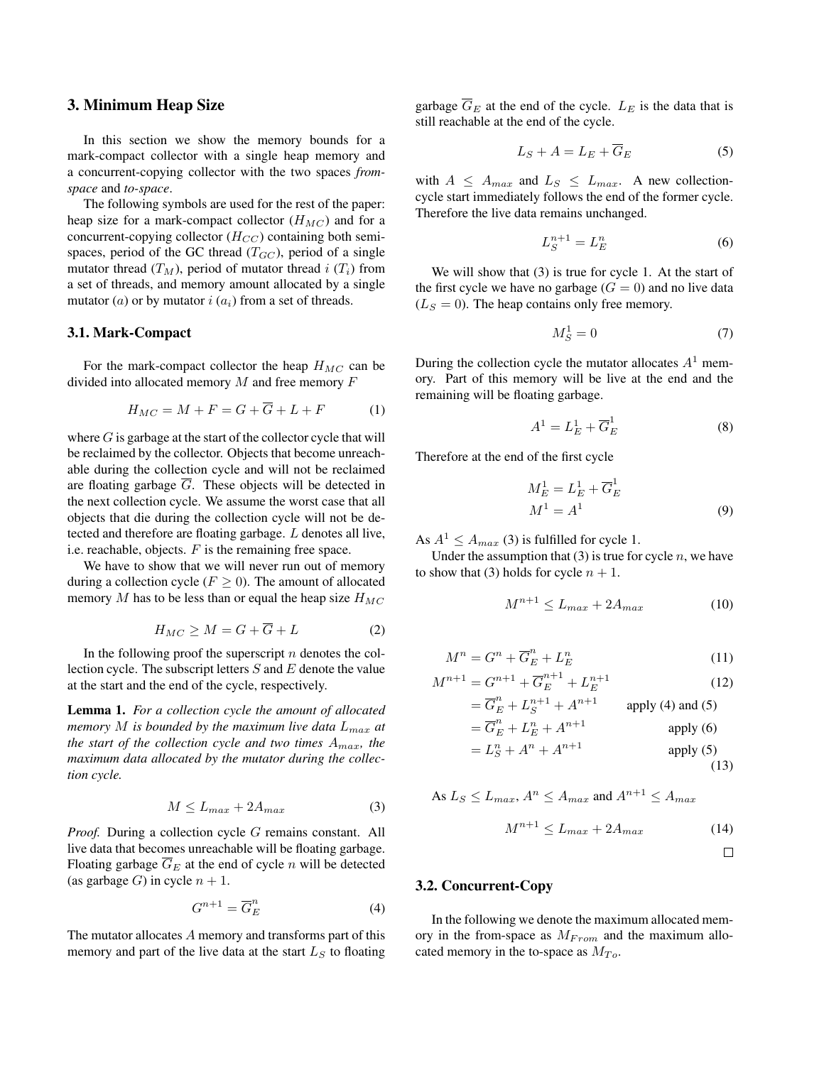## 3. Minimum Heap Size

In this section we show the memory bounds for a mark-compact collector with a single heap memory and a concurrent-copying collector with the two spaces *fromspace* and *to-space*.

The following symbols are used for the rest of the paper: heap size for a mark-compact collector  $(H_{MC})$  and for a concurrent-copying collector  $(H_{CC})$  containing both semispaces, period of the GC thread  $(T_{GC})$ , period of a single mutator thread  $(T_M)$ , period of mutator thread i  $(T_i)$  from a set of threads, and memory amount allocated by a single mutator (*a*) or by mutator  $i(a_i)$  from a set of threads.

#### 3.1. Mark-Compact

For the mark-compact collector the heap  $H_{MC}$  can be divided into allocated memory  $M$  and free memory  $F$ 

$$
H_{MC} = M + F = G + \overline{G} + L + F \tag{1}
$$

where  $G$  is garbage at the start of the collector cycle that will be reclaimed by the collector. Objects that become unreachable during the collection cycle and will not be reclaimed are floating garbage  $\overline{G}$ . These objects will be detected in the next collection cycle. We assume the worst case that all objects that die during the collection cycle will not be detected and therefore are floating garbage. L denotes all live, i.e. reachable, objects.  $F$  is the remaining free space.

We have to show that we will never run out of memory during a collection cycle ( $F \geq 0$ ). The amount of allocated memory M has to be less than or equal the heap size  $H_{MC}$ 

$$
H_{MC} \ge M = G + \overline{G} + L \tag{2}
$$

In the following proof the superscript  $n$  denotes the collection cycle. The subscript letters  $S$  and  $E$  denote the value at the start and the end of the cycle, respectively.

Lemma 1. *For a collection cycle the amount of allocated memory* M *is bounded by the maximum live data*  $L_{max}$  *at the start of the collection cycle and two times*  $A_{max}$ *, the maximum data allocated by the mutator during the collection cycle.*

$$
M \le L_{max} + 2A_{max} \tag{3}
$$

*Proof.* During a collection cycle G remains constant. All live data that becomes unreachable will be floating garbage. Floating garbage  $\overline{G}_E$  at the end of cycle n will be detected (as garbage G) in cycle  $n + 1$ .

$$
G^{n+1} = \overline{G}_E^n \tag{4}
$$

The mutator allocates A memory and transforms part of this memory and part of the live data at the start  $L_S$  to floating garbage  $\overline{G}_E$  at the end of the cycle.  $L_E$  is the data that is still reachable at the end of the cycle.

$$
L_S + A = L_E + \overline{G}_E \tag{5}
$$

with  $A \leq A_{max}$  and  $L_S \leq L_{max}$ . A new collectioncycle start immediately follows the end of the former cycle. Therefore the live data remains unchanged.

$$
L_S^{n+1} = L_E^n \tag{6}
$$

We will show that (3) is true for cycle 1. At the start of the first cycle we have no garbage  $(G = 0)$  and no live data  $(L<sub>S</sub> = 0)$ . The heap contains only free memory.

$$
M_S^1 = 0\tag{7}
$$

During the collection cycle the mutator allocates  $A<sup>1</sup>$  memory. Part of this memory will be live at the end and the remaining will be floating garbage.

$$
A^1 = L_E^1 + \overline{G}_E^1 \tag{8}
$$

Therefore at the end of the first cycle

$$
M_E^1 = L_E^1 + \overline{G}_E^1
$$
  

$$
M^1 = A^1
$$
 (9)

As  $A^1 \leq A_{max}$  (3) is fulfilled for cycle 1.

Under the assumption that  $(3)$  is true for cycle n, we have to show that (3) holds for cycle  $n + 1$ .

$$
M^{n+1} \le L_{max} + 2A_{max} \tag{10}
$$

$$
M^n = G^n + \overline{G}_E^n + L_E^n \tag{11}
$$

$$
M^{n+1} = G^{n+1} + \overline{G}_E^{n+1} + L_E^{n+1}
$$
 (12)

$$
= \overline{G}_E^n + L_S^{n+1} + A^{n+1}
$$
 apply (4) and (5)  

$$
= \overline{G}_E^n + L_E^n + A^{n+1}
$$
 apply (6)

$$
= L_S^n + A^n + A^{n+1}
$$
 apply (5)

$$
(13)
$$

As  $L_S \le L_{max}$ ,  $A^n \le A_{max}$  and  $A^{n+1} \le A_{max}$ 

$$
M^{n+1} \le L_{max} + 2A_{max} \tag{14}
$$

$$
\qquad \qquad \Box
$$

#### 3.2. Concurrent-Copy

In the following we denote the maximum allocated memory in the from-space as  $M_{From}$  and the maximum allocated memory in the to-space as  $M_{To}$ .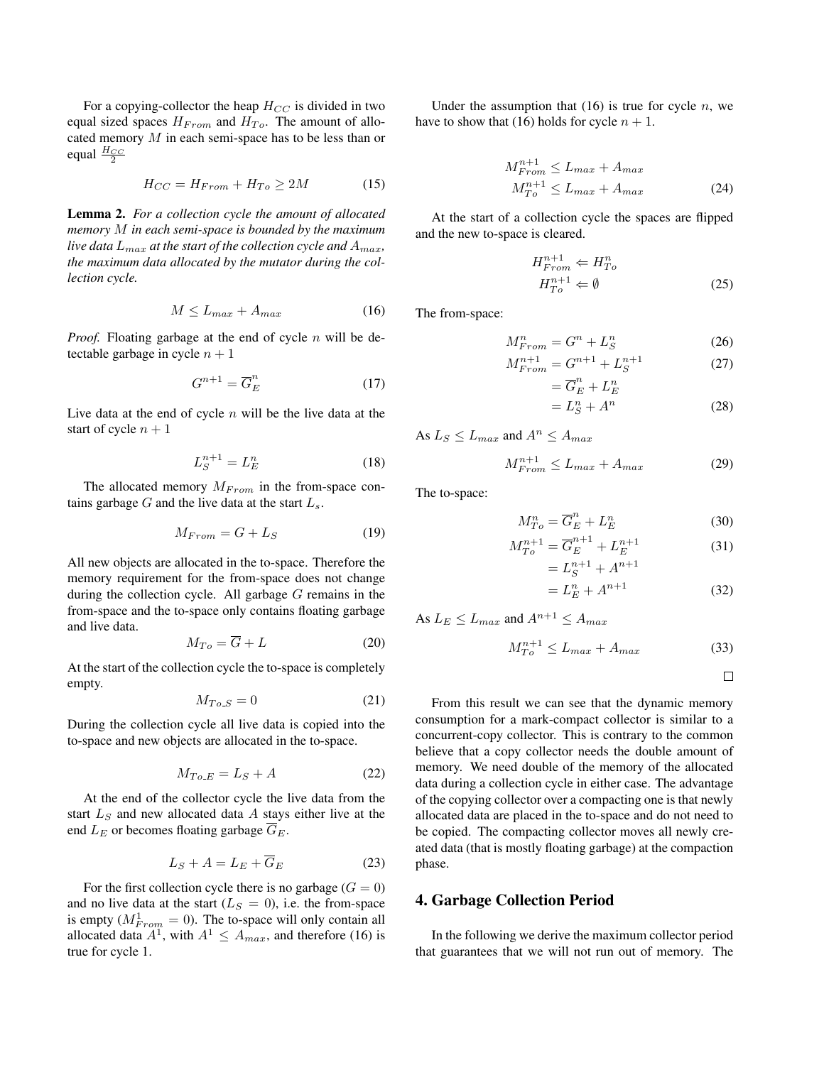For a copying-collector the heap  $H_{CC}$  is divided in two equal sized spaces  $H_{From}$  and  $H_{To}$ . The amount of allocated memory  $M$  in each semi-space has to be less than or equal  $\frac{H_{CC}}{2}$ 

$$
H_{CC} = H_{From} + H_{To} \ge 2M \tag{15}
$$

Lemma 2. *For a collection cycle the amount of allocated memory* M *in each semi-space is bounded by the maximum live data*  $L_{max}$  *at the start of the collection cycle and*  $A_{max}$ *, the maximum data allocated by the mutator during the collection cycle.*

$$
M \le L_{max} + A_{max} \tag{16}
$$

*Proof.* Floating garbage at the end of cycle n will be detectable garbage in cycle  $n + 1$ 

$$
G^{n+1} = \overline{G}_E^n \tag{17}
$$

Live data at the end of cycle  $n$  will be the live data at the start of cycle  $n + 1$ 

$$
L_S^{n+1} = L_E^n \tag{18}
$$

The allocated memory  $M_{From}$  in the from-space contains garbage  $G$  and the live data at the start  $L_s$ .

$$
M_{From} = G + L_S \tag{19}
$$

All new objects are allocated in the to-space. Therefore the memory requirement for the from-space does not change during the collection cycle. All garbage  $G$  remains in the from-space and the to-space only contains floating garbage and live data.

$$
M_{To} = \overline{G} + L \tag{20}
$$

At the start of the collection cycle the to-space is completely empty.

$$
M_{To,S} = 0 \tag{21}
$$

During the collection cycle all live data is copied into the to-space and new objects are allocated in the to-space.

$$
M_{To,E} = L_S + A \tag{22}
$$

At the end of the collector cycle the live data from the start  $L_S$  and new allocated data  $A$  stays either live at the end  $L_E$  or becomes floating garbage  $\overline{G}_E$ .

$$
L_S + A = L_E + \overline{G}_E \tag{23}
$$

For the first collection cycle there is no garbage  $(G = 0)$ and no live data at the start  $(L<sub>S</sub> = 0)$ , i.e. the from-space is empty ( $M_{From}^1 = 0$ ). The to-space will only contain all allocated data  $A^1$ , with  $A^1 \leq A_{max}$ , and therefore (16) is true for cycle 1.

Under the assumption that  $(16)$  is true for cycle n, we have to show that (16) holds for cycle  $n + 1$ .

$$
M_{From}^{n+1} \le L_{max} + A_{max}
$$
  
\n
$$
M_{To}^{n+1} \le L_{max} + A_{max}
$$
\n(24)

At the start of a collection cycle the spaces are flipped and the new to-space is cleared.

$$
H_{From}^{n+1} \Leftarrow H_{To}^n
$$
  

$$
H_{To}^{n+1} \Leftarrow \emptyset
$$
 (25)

The from-space:

$$
M_{From}^n = G^n + L_S^n \tag{26}
$$

$$
M_{From}^{n+1} = G^{n+1} + L_S^{n+1}
$$
 (27)

$$
= \overline{G}_E^n + L_E^n
$$
  
=  $L_S^n + A^n$  (28)

As  $L_S \leq L_{max}$  and  $A^n \leq A_{max}$ 

$$
M_{From}^{n+1} \le L_{max} + A_{max} \tag{29}
$$

The to-space:

$$
M_{To}^n = \overline{G}_E^n + L_E^n \tag{30}
$$

$$
M_{To}^{n+1} = \overline{G}_E^{n+1} + L_E^{n+1}
$$
 (31)

$$
= L_S^{n+1} + A^{n+1}
$$
  
=  $L_E^n + A^{n+1}$  (32)

As  $L_E \leq L_{max}$  and  $A^{n+1} \leq A_{max}$ 

$$
M_{To}^{n+1} \le L_{max} + A_{max} \tag{33}
$$

 $\Box$ 

From this result we can see that the dynamic memory consumption for a mark-compact collector is similar to a concurrent-copy collector. This is contrary to the common believe that a copy collector needs the double amount of memory. We need double of the memory of the allocated data during a collection cycle in either case. The advantage of the copying collector over a compacting one is that newly allocated data are placed in the to-space and do not need to be copied. The compacting collector moves all newly created data (that is mostly floating garbage) at the compaction phase.

## 4. Garbage Collection Period

In the following we derive the maximum collector period that guarantees that we will not run out of memory. The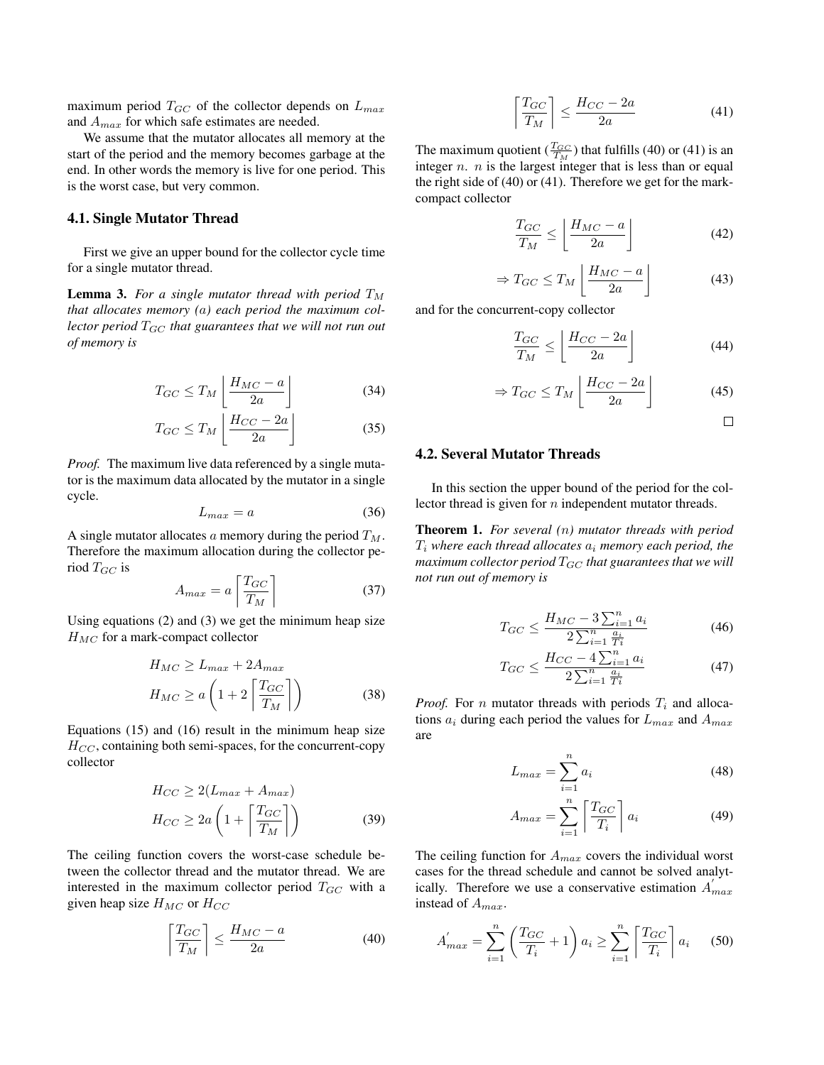maximum period  $T_{GC}$  of the collector depends on  $L_{max}$ and  $A_{max}$  for which safe estimates are needed.

We assume that the mutator allocates all memory at the start of the period and the memory becomes garbage at the end. In other words the memory is live for one period. This is the worst case, but very common.

#### 4.1. Single Mutator Thread

First we give an upper bound for the collector cycle time for a single mutator thread.

**Lemma 3.** For a single mutator thread with period  $T_M$ *that allocates memory (*a*) each period the maximum collector period*  $T_{GC}$  *that guarantees that we will not run out of memory is*

$$
T_{GC} \le T_M \left[ \frac{H_{MC} - a}{2a} \right] \tag{34}
$$

$$
T_{GC} \le T_M \left[ \frac{H_{CC} - 2a}{2a} \right] \tag{35}
$$

*Proof.* The maximum live data referenced by a single mutator is the maximum data allocated by the mutator in a single cycle.

$$
L_{max} = a \tag{36}
$$

A single mutator allocates a memory during the period  $T_M$ . Therefore the maximum allocation during the collector period  $T_{GC}$  is

$$
A_{max} = a \left[ \frac{T_{GC}}{T_M} \right] \tag{37}
$$

Using equations (2) and (3) we get the minimum heap size  $H_{MC}$  for a mark-compact collector

$$
H_{MC} \ge L_{max} + 2A_{max}
$$
  
\n
$$
H_{MC} \ge a \left( 1 + 2 \left| \frac{T_{GC}}{T_M} \right| \right)
$$
\n(38)

Equations (15) and (16) result in the minimum heap size  $H_{CC}$ , containing both semi-spaces, for the concurrent-copy collector

$$
H_{CC} \ge 2(L_{max} + A_{max})
$$
  
\n
$$
H_{CC} \ge 2a\left(1 + \left\lceil \frac{T_{GC}}{T_M} \right\rceil\right)
$$
\n(39)

The ceiling function covers the worst-case schedule between the collector thread and the mutator thread. We are interested in the maximum collector period  $T_{GC}$  with a given heap size  $H_{MC}$  or  $H_{CC}$ 

$$
\left|\frac{T_{GC}}{T_M}\right| \le \frac{H_{MC} - a}{2a} \tag{40}
$$

$$
\left\lceil \frac{T_{GC}}{T_M} \right\rceil \le \frac{H_{CC} - 2a}{2a} \tag{41}
$$

The maximum quotient  $(\frac{T_{GC}}{T_M})$  that fulfills (40) or (41) is an integer  $n$ .  $n$  is the largest integer that is less than or equal the right side of (40) or (41). Therefore we get for the markcompact collector

$$
\frac{T_{GC}}{T_M} \le \left\lfloor \frac{H_{MC} - a}{2a} \right\rfloor \tag{42}
$$

$$
\Rightarrow T_{GC} \le T_M \left[ \frac{H_{MC} - a}{2a} \right] \tag{43}
$$

and for the concurrent-copy collector

$$
\frac{T_{GC}}{T_M} \le \left\lfloor \frac{H_{CC} - 2a}{2a} \right\rfloor \tag{44}
$$

$$
\Rightarrow T_{GC} \le T_M \left[ \frac{H_{CC} - 2a}{2a} \right] \tag{45}
$$

 $\Box$ 

#### 4.2. Several Mutator Threads

In this section the upper bound of the period for the collector thread is given for  $n$  independent mutator threads.

Theorem 1. *For several (*n*) mutator threads with period*  $T_i$  where each thread allocates  $a_i$  memory each period, the  $maximum$  *collector period*  $T_{GC}$  *that guarantees that we will not run out of memory is*

$$
T_{GC} \le \frac{H_{MC} - 3\sum_{i=1}^{n} a_i}{2\sum_{i=1}^{n} \frac{a_i}{T_i}}
$$
(46)

$$
T_{GC} \le \frac{H_{CC} - 4\sum_{i=1}^{n} a_i}{2\sum_{i=1}^{n} \frac{a_i}{T_i}} \tag{47}
$$

*Proof.* For *n* mutator threads with periods  $T_i$  and allocations  $a_i$  during each period the values for  $L_{max}$  and  $A_{max}$ are

$$
L_{max} = \sum_{i=1}^{n} a_i
$$
 (48)

$$
A_{max} = \sum_{i=1}^{n} \left[ \frac{T_{GC}}{T_i} \right] a_i \tag{49}
$$

The ceiling function for  $A_{max}$  covers the individual worst cases for the thread schedule and cannot be solved analytically. Therefore we use a conservative estimation  $A'_{max}$ instead of  $A_{max}$ .

$$
A'_{max} = \sum_{i=1}^{n} \left( \frac{T_{GC}}{T_i} + 1 \right) a_i \ge \sum_{i=1}^{n} \left[ \frac{T_{GC}}{T_i} \right] a_i \tag{50}
$$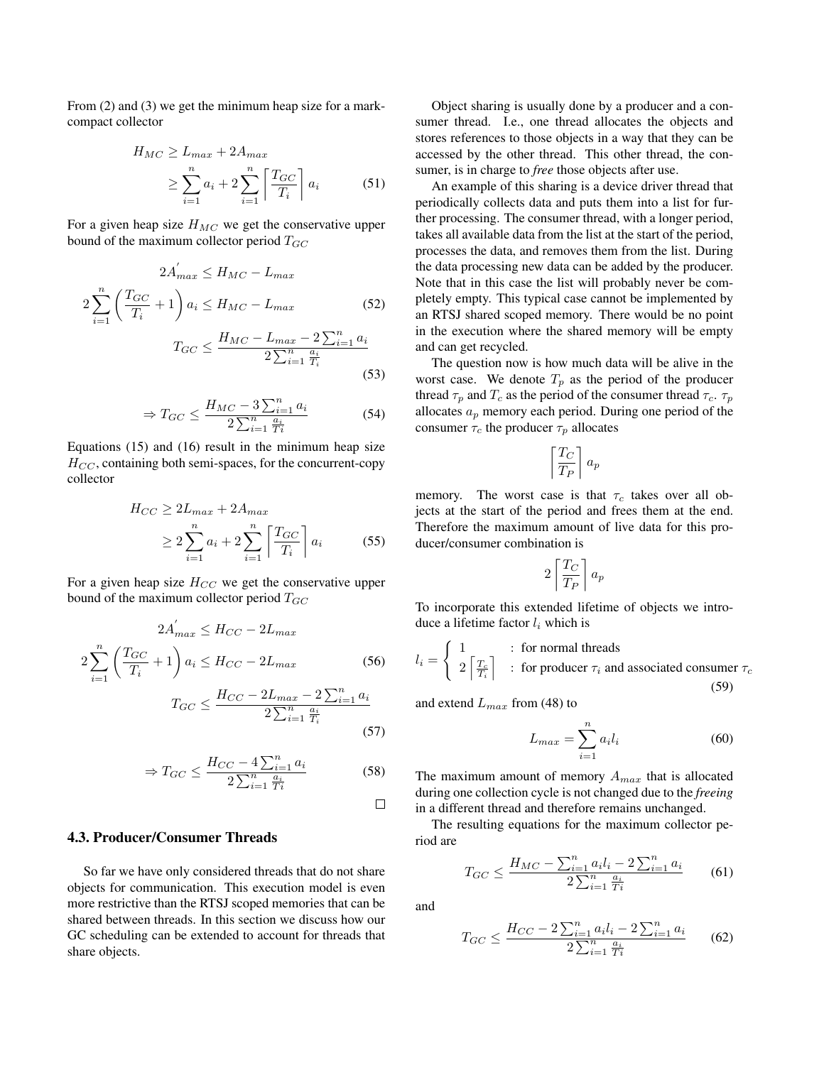From (2) and (3) we get the minimum heap size for a markcompact collector

$$
H_{MC} \ge L_{max} + 2A_{max}
$$
  
 
$$
\ge \sum_{i=1}^{n} a_i + 2\sum_{i=1}^{n} \left\lceil \frac{T_{GC}}{T_i} \right\rceil a_i \tag{51}
$$

For a given heap size  $H_{MC}$  we get the conservative upper bound of the maximum collector period  $T_{GC}$ 

$$
2A'_{max} \leq H_{MC} - L_{max}
$$
  

$$
2\sum_{i=1}^{n} \left(\frac{T_{GC}}{T_i} + 1\right) a_i \leq H_{MC} - L_{max}
$$
 (52)  

$$
T_{GC} \leq \frac{H_{MC} - L_{max} - 2\sum_{i=1}^{n} a_i}{2\sum_{i=1}^{n} \frac{a_i}{T_i}}
$$
 (53)

$$
\Rightarrow T_{GC} \le \frac{H_{MC} - 3\sum_{i=1}^{n} a_i}{2\sum_{i=1}^{n} \frac{a_i}{T_i}}
$$
(54)

Equations (15) and (16) result in the minimum heap size  $H_{CC}$ , containing both semi-spaces, for the concurrent-copy collector

$$
H_{CC} \ge 2L_{max} + 2A_{max}
$$
  
\n
$$
\ge 2\sum_{i=1}^{n} a_i + 2\sum_{i=1}^{n} \left\lceil \frac{T_{GC}}{T_i} \right\rceil a_i
$$
 (55)

For a given heap size  $H_{CC}$  we get the conservative upper bound of the maximum collector period  $T_{GC}$ 

$$
2A'_{max} \leq H_{CC} - 2L_{max}
$$

$$
2\sum_{i=1}^{n} \left(\frac{T_{GC}}{T_i} + 1\right) a_i \leq H_{CC} - 2L_{max}
$$
(56)

$$
T_{GC} \le \frac{H_{CC} - 2L_{max} - 2\sum_{i=1}^{n} a_i}{2\sum_{i=1}^{n} \frac{a_i}{T_i}}
$$
(57)

$$
\Rightarrow T_{GC} \le \frac{H_{CC} - 4\sum_{i=1}^{n} a_i}{2\sum_{i=1}^{n} \frac{a_i}{T_i}}
$$
(58)

 $\Box$ 

#### 4.3. Producer/Consumer Threads

2

So far we have only considered threads that do not share objects for communication. This execution model is even more restrictive than the RTSJ scoped memories that can be shared between threads. In this section we discuss how our GC scheduling can be extended to account for threads that share objects.

Object sharing is usually done by a producer and a consumer thread. I.e., one thread allocates the objects and stores references to those objects in a way that they can be accessed by the other thread. This other thread, the consumer, is in charge to *free* those objects after use.

An example of this sharing is a device driver thread that periodically collects data and puts them into a list for further processing. The consumer thread, with a longer period, takes all available data from the list at the start of the period, processes the data, and removes them from the list. During the data processing new data can be added by the producer. Note that in this case the list will probably never be completely empty. This typical case cannot be implemented by an RTSJ shared scoped memory. There would be no point in the execution where the shared memory will be empty and can get recycled.

The question now is how much data will be alive in the worst case. We denote  $T_p$  as the period of the producer thread  $\tau_p$  and  $T_c$  as the period of the consumer thread  $\tau_c$ .  $\tau_p$ allocates  $a_p$  memory each period. During one period of the consumer  $\tau_c$  the producer  $\tau_p$  allocates

$$
\left\lceil \frac{T_C}{T_P} \right\rceil a_p
$$

memory. The worst case is that  $\tau_c$  takes over all objects at the start of the period and frees them at the end. Therefore the maximum amount of live data for this producer/consumer combination is

$$
2\left\lceil\frac{T_C}{T_P}\right\rceil a_p
$$

To incorporate this extended lifetime of objects we introduce a lifetime factor  $l_i$  which is

$$
l_i = \begin{cases} 1 & \text{if } i \text{ is the normal threads} \\ 2\left\lceil \frac{T_c}{T_i} \right\rceil & \text{if } i \text{ is the product } \tau_i \text{ and associated consumer } \tau_c \end{cases}
$$

and extend  $L_{max}$  from (48) to

$$
L_{max} = \sum_{i=1}^{n} a_i l_i \tag{60}
$$

The maximum amount of memory  $A_{max}$  that is allocated during one collection cycle is not changed due to the *freeing* in a different thread and therefore remains unchanged.

The resulting equations for the maximum collector period are

$$
T_{GC} \le \frac{H_{MC} - \sum_{i=1}^{n} a_i l_i - 2 \sum_{i=1}^{n} a_i}{2 \sum_{i=1}^{n} \frac{a_i}{T_i}}
$$
(61)

and

$$
T_{GC} \le \frac{H_{CC} - 2\sum_{i=1}^{n} a_i l_i - 2\sum_{i=1}^{n} a_i}{2\sum_{i=1}^{n} \frac{a_i}{T_i}}
$$
(62)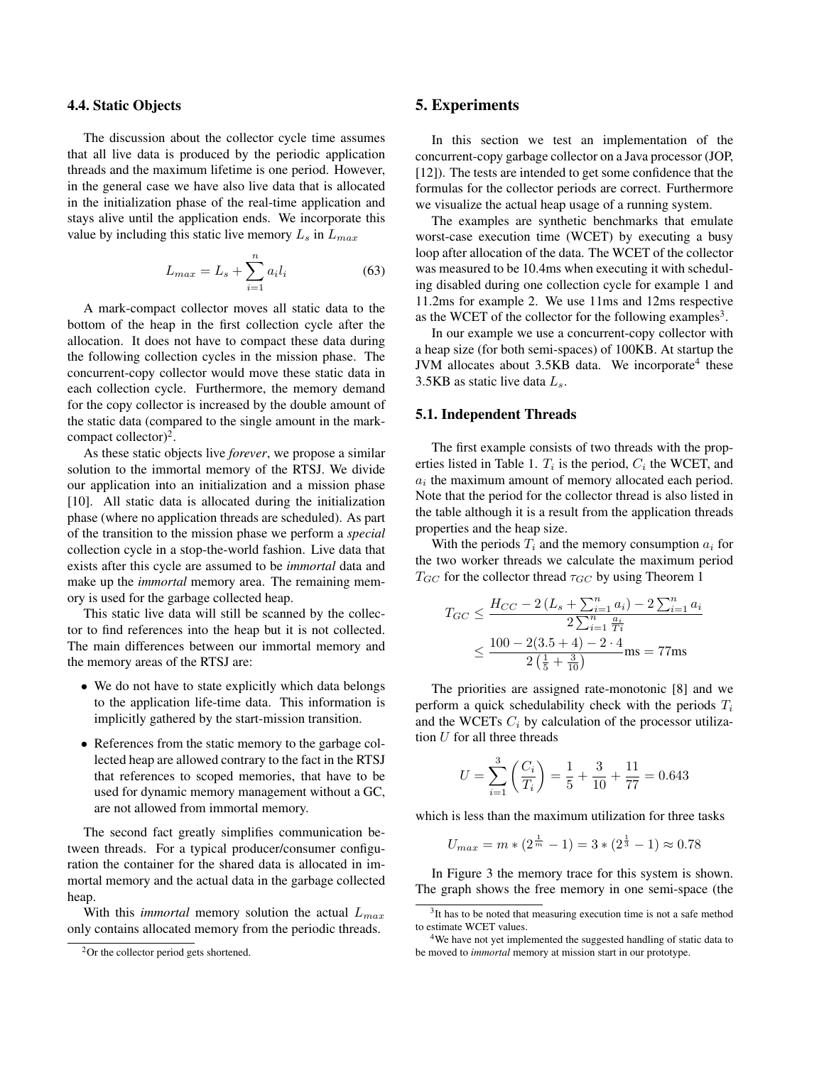#### 4.4. Static Objects

The discussion about the collector cycle time assumes that all live data is produced by the periodic application threads and the maximum lifetime is one period. However, in the general case we have also live data that is allocated in the initialization phase of the real-time application and stays alive until the application ends. We incorporate this value by including this static live memory  $L_s$  in  $L_{max}$ 

$$
L_{max} = L_s + \sum_{i=1}^{n} a_i l_i \tag{63}
$$

A mark-compact collector moves all static data to the bottom of the heap in the first collection cycle after the allocation. It does not have to compact these data during the following collection cycles in the mission phase. The concurrent-copy collector would move these static data in each collection cycle. Furthermore, the memory demand for the copy collector is increased by the double amount of the static data (compared to the single amount in the markcompact collector)<sup>2</sup>.

As these static objects live *forever*, we propose a similar solution to the immortal memory of the RTSJ. We divide our application into an initialization and a mission phase [10]. All static data is allocated during the initialization phase (where no application threads are scheduled). As part of the transition to the mission phase we perform a *special* collection cycle in a stop-the-world fashion. Live data that exists after this cycle are assumed to be *immortal* data and make up the *immortal* memory area. The remaining memory is used for the garbage collected heap.

This static live data will still be scanned by the collector to find references into the heap but it is not collected. The main differences between our immortal memory and the memory areas of the RTSJ are:

- We do not have to state explicitly which data belongs to the application life-time data. This information is implicitly gathered by the start-mission transition.
- References from the static memory to the garbage collected heap are allowed contrary to the fact in the RTSJ that references to scoped memories, that have to be used for dynamic memory management without a GC, are not allowed from immortal memory.

The second fact greatly simplifies communication between threads. For a typical producer/consumer configuration the container for the shared data is allocated in immortal memory and the actual data in the garbage collected heap.

With this *immortal* memory solution the actual  $L_{max}$ only contains allocated memory from the periodic threads.

#### 5. Experiments

In this section we test an implementation of the concurrent-copy garbage collector on a Java processor (JOP, [12]). The tests are intended to get some confidence that the formulas for the collector periods are correct. Furthermore we visualize the actual heap usage of a running system.

The examples are synthetic benchmarks that emulate worst-case execution time (WCET) by executing a busy loop after allocation of the data. The WCET of the collector was measured to be 10.4ms when executing it with scheduling disabled during one collection cycle for example 1 and 11.2ms for example 2. We use 11ms and 12ms respective as the WCET of the collector for the following examples<sup>3</sup>.

In our example we use a concurrent-copy collector with a heap size (for both semi-spaces) of 100KB. At startup the JVM allocates about 3.5KB data. We incorporate<sup>4</sup> these 3.5KB as static live data  $L_s$ .

#### 5.1. Independent Threads

The first example consists of two threads with the properties listed in Table 1.  $T_i$  is the period,  $C_i$  the WCET, and  $a_i$  the maximum amount of memory allocated each period. Note that the period for the collector thread is also listed in the table although it is a result from the application threads properties and the heap size.

With the periods  $T_i$  and the memory consumption  $a_i$  for the two worker threads we calculate the maximum period  $T_{GC}$  for the collector thread  $\tau_{GC}$  by using Theorem 1

$$
T_{GC} \leq \frac{H_{CC} - 2(L_s + \sum_{i=1}^n a_i) - 2\sum_{i=1}^n a_i}{2\sum_{i=1}^n \frac{a_i}{T_i}}
$$
  
 
$$
\leq \frac{100 - 2(3.5 + 4) - 2 \cdot 4}{2(\frac{1}{5} + \frac{3}{10})} \text{ms} = 77 \text{ms}
$$

The priorities are assigned rate-monotonic [8] and we perform a quick schedulability check with the periods  $T_i$ and the WCETs  $C_i$  by calculation of the processor utilization  $U$  for all three threads

$$
U = \sum_{i=1}^{3} \left( \frac{C_i}{T_i} \right) = \frac{1}{5} + \frac{3}{10} + \frac{11}{77} = 0.643
$$

which is less than the maximum utilization for three tasks

$$
U_{max} = m * (2^{\frac{1}{m}} - 1) = 3 * (2^{\frac{1}{3}} - 1) \approx 0.78
$$

In Figure 3 the memory trace for this system is shown. The graph shows the free memory in one semi-space (the

<sup>&</sup>lt;sup>2</sup>Or the collector period gets shortened.

<sup>&</sup>lt;sup>3</sup>It has to be noted that measuring execution time is not a safe method to estimate WCET values.

<sup>&</sup>lt;sup>4</sup>We have not yet implemented the suggested handling of static data to be moved to *immortal* memory at mission start in our prototype.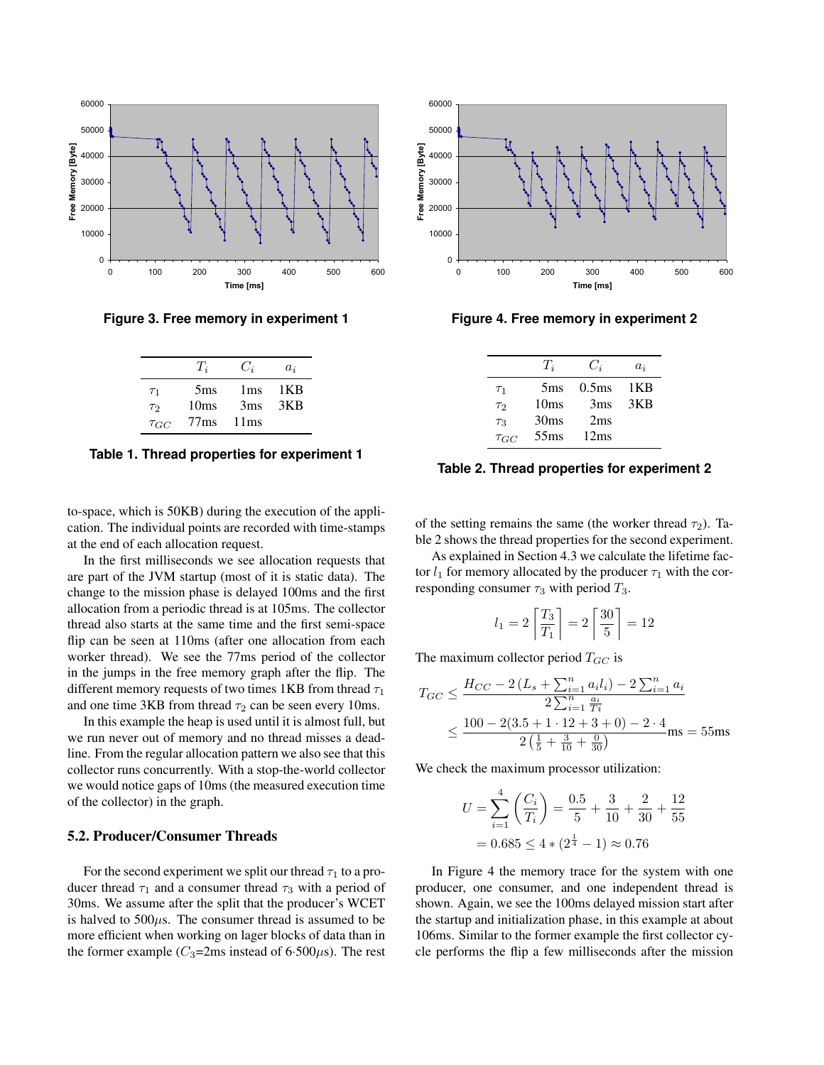

**Figure 3. Free memory in experiment 1**

|                | $T_i$            | $C_i$           | $a_i$ |
|----------------|------------------|-----------------|-------|
| T <sub>1</sub> | 5 <sub>ms</sub>  | 1 <sub>ms</sub> | 1 K B |
| $\tau_2$       | 10 <sub>ms</sub> | 3 <sub>ms</sub> | 3KB   |
| $\tau_{GC}$    | 77ms             | 11ms            |       |

**Table 1. Thread properties for experiment 1**

to-space, which is 50KB) during the execution of the application. The individual points are recorded with time-stamps at the end of each allocation request.

In the first milliseconds we see allocation requests that are part of the JVM startup (most of it is static data). The change to the mission phase is delayed 100ms and the first allocation from a periodic thread is at 105ms. The collector thread also starts at the same time and the first semi-space flip can be seen at 110ms (after one allocation from each worker thread). We see the 77ms period of the collector in the jumps in the free memory graph after the flip. The different memory requests of two times 1KB from thread  $\tau_1$ and one time 3KB from thread  $\tau_2$  can be seen every 10ms.

In this example the heap is used until it is almost full, but we run never out of memory and no thread misses a deadline. From the regular allocation pattern we also see that this collector runs concurrently. With a stop-the-world collector we would notice gaps of 10ms (the measured execution time of the collector) in the graph.

## 5.2. Producer/Consumer Threads

For the second experiment we split our thread  $\tau_1$  to a producer thread  $\tau_1$  and a consumer thread  $\tau_3$  with a period of 30ms. We assume after the split that the producer's WCET is halved to  $500\mu s$ . The consumer thread is assumed to be more efficient when working on lager blocks of data than in the former example ( $C_3$ =2ms instead of 6.500 $\mu$ s). The rest



**Figure 4. Free memory in experiment 2**

|                     | $T_i$            | $C_i$             | $a_i$ |
|---------------------|------------------|-------------------|-------|
| $\tau_1$            | 5 <sub>ms</sub>  | 0.5 <sub>ms</sub> | 1 K B |
| $\tau$ <sub>2</sub> | 10ms             | 3ms               | 3KB   |
| $\tau_3$            | 30 <sub>ms</sub> | 2ms               |       |
| $\tau_{GC}$         | 55ms             | 12ms              |       |

**Table 2. Thread properties for experiment 2**

of the setting remains the same (the worker thread  $\tau_2$ ). Table 2 shows the thread properties for the second experiment.

As explained in Section 4.3 we calculate the lifetime factor  $l_1$  for memory allocated by the producer  $\tau_1$  with the corresponding consumer  $\tau_3$  with period  $T_3$ .

$$
l_1 = 2\left\lceil \frac{T_3}{T_1} \right\rceil = 2\left\lceil \frac{30}{5} \right\rceil = 12
$$

The maximum collector period  $T_{GC}$  is

$$
T_{GC} \le \frac{H_{CC} - 2\left(L_s + \sum_{i=1}^n a_i l_i\right) - 2\sum_{i=1}^n a_i}{2\sum_{i=1}^n \frac{a_i}{T_i}}
$$
  
 
$$
\le \frac{100 - 2(3.5 + 1 \cdot 12 + 3 + 0) - 2 \cdot 4}{2\left(\frac{1}{5} + \frac{3}{10} + \frac{0}{30}\right)}
$$
ms = 55ms

We check the maximum processor utilization:

$$
U = \sum_{i=1}^{4} \left( \frac{C_i}{T_i} \right) = \frac{0.5}{5} + \frac{3}{10} + \frac{2}{30} + \frac{12}{55}
$$

$$
= 0.685 \le 4 * (2^{\frac{1}{4}} - 1) \approx 0.76
$$

In Figure 4 the memory trace for the system with one producer, one consumer, and one independent thread is shown. Again, we see the 100ms delayed mission start after the startup and initialization phase, in this example at about 106ms. Similar to the former example the first collector cycle performs the flip a few milliseconds after the mission